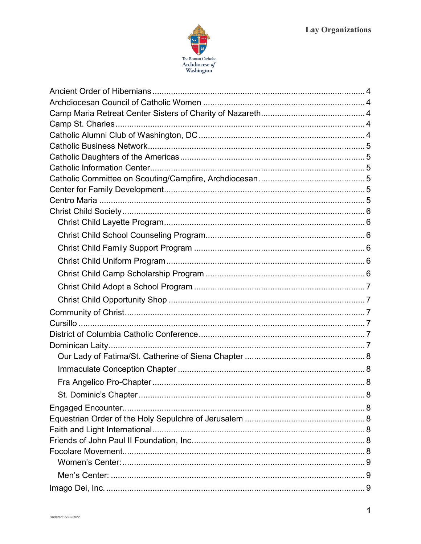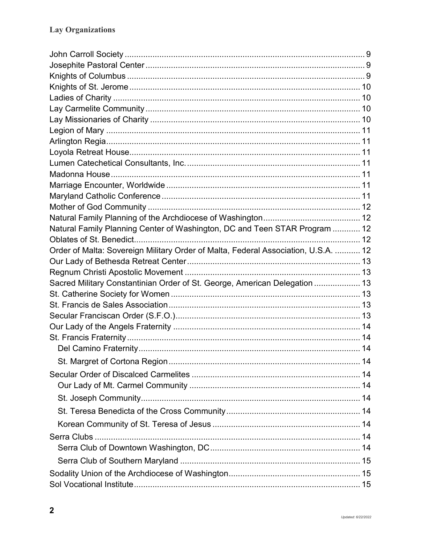| Natural Family Planning Center of Washington, DC and Teen STAR Program  12         |  |
|------------------------------------------------------------------------------------|--|
|                                                                                    |  |
| Order of Malta: Sovereign Military Order of Malta, Federal Association, U.S.A.  12 |  |
|                                                                                    |  |
|                                                                                    |  |
| Sacred Military Constantinian Order of St. George, American Delegation  13         |  |
|                                                                                    |  |
|                                                                                    |  |
|                                                                                    |  |
|                                                                                    |  |
|                                                                                    |  |
|                                                                                    |  |
|                                                                                    |  |
|                                                                                    |  |
|                                                                                    |  |
|                                                                                    |  |
|                                                                                    |  |
|                                                                                    |  |
|                                                                                    |  |
|                                                                                    |  |
|                                                                                    |  |
|                                                                                    |  |
|                                                                                    |  |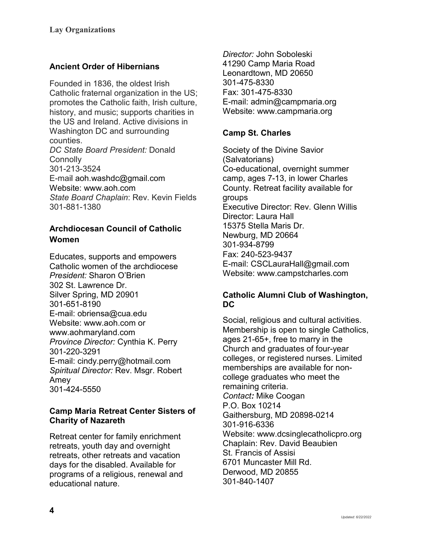# <span id="page-3-0"></span>**Ancient Order of Hibernians**

<span id="page-3-1"></span>Founded in 1836, the oldest Irish Catholic fraternal organization in the US; promotes the Catholic faith, Irish culture, history, and music; supports charities in the US and Ireland. Active divisions in Washington DC and surrounding counties. *DC State Board President:* Donald **Connolly** 301-213-3524 E-mail [aoh.washdc@gmail.com](mailto:aoh.washdc@gmail.com) Website: [www.aoh.com](https://linkprotect.cudasvc.com/url?a=http%3a%2f%2fwww.aoh.com&c=E,1,aXE7qchDy48Zuddia-Sy05ntW8qfa-3nKY6Pki2E6CGL6PE6xUkQcfVmtdeA6KHheUMdjnqkgAOkMrmwaoz0NsX93-9mhgli4lD-2h1tJ3Pz1GYbR2CAX8e_J6ds&typo=1) *State Board Chaplain*: Rev. Kevin Fields 301-881-1380

# **Archdiocesan Council of Catholic Women**

Educates, supports and empowers Catholic women of the archdiocese *President:* Sharon O'Brien 302 St. Lawrence Dr. Silver Spring, MD 20901 301-651-8190 E-mail: obriensa@cua.edu Website: www.aoh.com or [www.aohmaryland.com](http://www.aohmaryland.com/) *Province Director:* Cynthia K. Perry 301-220-3291 E-mail: cindy.perry@hotmail.com *Spiritual Director:* Rev. Msgr. Robert Amey 301-424-5550

### <span id="page-3-2"></span>**Camp Maria Retreat Center Sisters of Charity of Nazareth**

Retreat center for family enrichment retreats, youth day and overnight retreats, other retreats and vacation days for the disabled. Available for programs of a religious, renewal and educational nature.

*Director:* John Soboleski 41290 Camp Maria Road Leonardtown, MD 20650 301-475-8330 Fax: 301-475-8330 E-mail: admin@campmaria.org Website: [www.campmaria.org](http://www.campmaria.org/)

# <span id="page-3-3"></span>**Camp St. Charles**

Society of the Divine Savior (Salvatorians) Co-educational, overnight summer camp, ages 7-13, in lower Charles County. Retreat facility available for groups Executive Director: Rev. Glenn Willis Director: Laura Hall 15375 Stella Maris Dr. Newburg, MD 20664 301-934-8799 Fax: 240-523-9437 E-mail: CSCLauraHall@gmail.com Website: www.campstcharles.com

### <span id="page-3-4"></span>**Catholic Alumni Club of Washington, DC**

Social, religious and cultural activities. Membership is open to single Catholics, ages 21-65+, free to marry in the Church and graduates of four-year colleges, or registered nurses. Limited memberships are available for noncollege graduates who meet the remaining criteria. *Contact:* Mike Coogan P.O. Box 10214 Gaithersburg, MD 20898-0214 301-916-6336 Website: www.dcsinglecatholicpro.org Chaplain: Rev. David Beaubien St. Francis of Assisi 6701 Muncaster Mill Rd. Derwood, MD 20855 301-840-1407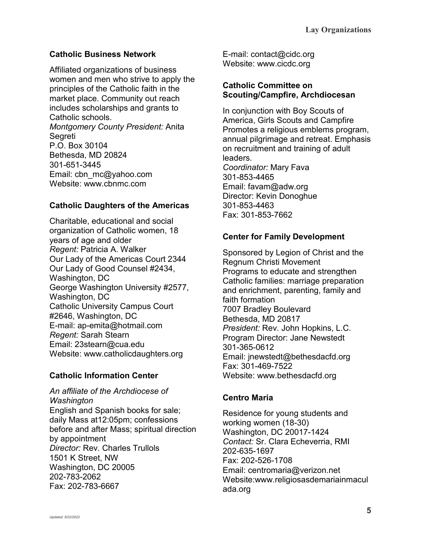# <span id="page-4-0"></span>**Catholic Business Network**

Affiliated organizations of business women and men who strive to apply the principles of the Catholic faith in the market place. Community out reach includes scholarships and grants to Catholic schools. *Montgomery County President:* Anita Segreti P.O. Box 30104 Bethesda, MD 20824 301-651-3445 Email: cbn\_mc@yahoo.com Website: www.cbnmc.com

# <span id="page-4-1"></span>**Catholic Daughters of the Americas**

Charitable, educational and social organization of Catholic women, 18 years of age and older *Regent:* Patricia A. Walker Our Lady of the Americas Court 2344 Our Lady of Good Counsel #2434, Washington, DC George Washington University #2577, Washington, DC Catholic University Campus Court #2646, Washington, DC E-mail: ap-emita@hotmail.com *Regent:* Sarah Stearn Email: 23stearn@cua.edu Website: www.catholicdaughters.org

# <span id="page-4-2"></span>**Catholic Information Center**

*An affiliate of the Archdiocese of Washington* English and Spanish books for sale; daily Mass at12:05pm; confessions before and after Mass; spiritual direction by appointment *Director:* Rev. Charles Trullols 1501 K Street, NW Washington, DC 20005 202-783-2062 Fax: 202-783-6667

E-mail: contact@cidc.org Website: www.cicdc.org

### <span id="page-4-3"></span>**Catholic Committee on Scouting/Campfire, Archdiocesan**

In conjunction with Boy Scouts of America, Girls Scouts and Campfire Promotes a religious emblems program, annual pilgrimage and retreat. Emphasis on recruitment and training of adult leaders. *Coordinator:* Mary Fava 301-853-4465 Email: [favam@adw.org](mailto:favam@adw.org) Director: Kevin Donoghue 301-853-4463 Fax: 301-853-7662

### <span id="page-4-4"></span>**Center for Family Development**

Sponsored by Legion of Christ and the Regnum Christi Movement Programs to educate and strengthen Catholic families: marriage preparation and enrichment, parenting, family and faith formation 7007 Bradley Boulevard Bethesda, MD 20817 *President:* Rev. John Hopkins, L.C. Program Director: Jane Newstedt 301-365-0612 Email: jnewstedt@bethesdacfd.org Fax: 301-469-7522 Website: [www.bethesdacfd.org](http://www.bethesdacfd.org/)

### <span id="page-4-5"></span>**Centro Maria**

Residence for young students and working women (18-30) Washington, DC 20017-1424 *Contact:* Sr. Clara Echeverria, RMI 202-635-1697 Fax: 202-526-1708 Email: centromaria@verizon.net Website:www.religiosasdemariainmacul ada.org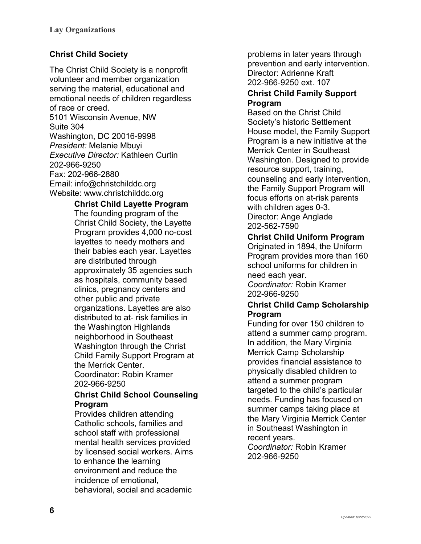# <span id="page-5-0"></span>**Christ Child Society**

The Christ Child Society is a nonprofit volunteer and member organization serving the material, educational and emotional needs of children regardless of race or creed. 5101 Wisconsin Avenue, NW Suite 304 Washington, DC 20016-9998 *President:* Melanie Mbuyi *Executive Director:* Kathleen Curtin 202-966-9250 Fax: 202-966-2880 Email: info@christchilddc.org Website: [www.christchilddc.org](http://www.christchilddc.org/)

<span id="page-5-1"></span>**Christ Child Layette Program**

The founding program of the Christ Child Society, the Layette Program provides 4,000 no-cost layettes to needy mothers and their babies each year. Layettes are distributed through approximately 35 agencies such as hospitals, community based clinics, pregnancy centers and other public and private organizations. Layettes are also distributed to at- risk families in the Washington Highlands neighborhood in Southeast Washington through the Christ Child Family Support Program at the Merrick Center. Coordinator: Robin Kramer

202-966-9250

#### <span id="page-5-2"></span>**Christ Child School Counseling Program**

Provides children attending Catholic schools, families and school staff with professional mental health services provided by licensed social workers. Aims to enhance the learning environment and reduce the incidence of emotional, behavioral, social and academic

problems in later years through prevention and early intervention. Director: Adrienne Kraft 202-966-9250 ext. 107

### <span id="page-5-3"></span>**Christ Child Family Support Program**

Based on the Christ Child Society's historic Settlement House model, the Family Support Program is a new initiative at the Merrick Center in Southeast Washington. Designed to provide resource support, training, counseling and early intervention, the Family Support Program will focus efforts on at-risk parents with children ages 0-3. Director: Ange Anglade 202-562-7590

# <span id="page-5-4"></span>**Christ Child Uniform Program**

Originated in 1894, the Uniform Program provides more than 160 school uniforms for children in need each year.

*Coordinator:* Robin Kramer 202-966-9250

### <span id="page-5-5"></span>**Christ Child Camp Scholarship Program**

Funding for over 150 children to attend a summer camp program. In addition, the Mary Virginia Merrick Camp Scholarship provides financial assistance to physically disabled children to attend a summer program targeted to the child's particular needs. Funding has focused on summer camps taking place at the Mary Virginia Merrick Center in Southeast Washington in recent years.

*Coordinator:* Robin Kramer 202-966-9250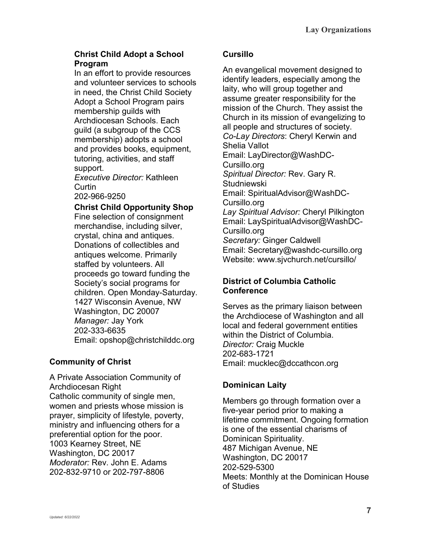## <span id="page-6-0"></span>**Christ Child Adopt a School Program**

In an effort to provide resources and volunteer services to schools in need, the Christ Child Society Adopt a School Program pairs membership guilds with Archdiocesan Schools. Each guild (a subgroup of the CCS membership) adopts a school and provides books, equipment, tutoring, activities, and staff support.

*Executive Director:* Kathleen Curtin

202-966-9250

### <span id="page-6-1"></span>**Christ Child Opportunity Shop**

Fine selection of consignment merchandise, including silver, crystal, china and antiques. Donations of collectibles and antiques welcome. Primarily staffed by volunteers. All proceeds go toward funding the Society's social programs for children. Open Monday-Saturday. 1427 Wisconsin Avenue, NW Washington, DC 20007 *Manager:* Jay York 202-333-6635 Email: opshop@christchilddc.org

# <span id="page-6-2"></span>**Community of Christ**

A Private Association Community of Archdiocesan Right Catholic community of single men, women and priests whose mission is prayer, simplicity of lifestyle, poverty, ministry and influencing others for a preferential option for the poor. 1003 Kearney Street, NE Washington, DC 20017 *Moderator:* Rev. John E. Adams 202-832-9710 or 202-797-8806

# <span id="page-6-3"></span>**Cursillo**

An evangelical movement designed to identify leaders, especially among the laity, who will group together and assume greater responsibility for the mission of the Church. They assist the Church in its mission of evangelizing to all people and structures of society. *Co-Lay Directors*: Cheryl Kerwin and Shelia Vallot Email: LayDirector@WashDC-Cursillo.org *Spiritual Director:* Rev. Gary R. **Studniewski** Email: SpiritualAdvisor@WashDC-Cursillo.org *Lay Spiritual Advisor:* Cheryl Pilkington Email: LaySpiritualAdvisor@WashDC-Cursillo.org *Secretary:* Ginger Caldwell Email: Secretary@washdc-cursillo.org Website: www.sjvchurch.net/cursillo/

# <span id="page-6-4"></span>**District of Columbia Catholic Conference**

Serves as the primary liaison between the Archdiocese of Washington and all local and federal government entities within the District of Columbia. *Director:* Craig Muckle 202-683-1721 Email: [mucklec@dccathcon.org](mailto:mucklec@dccathcon.org)

# <span id="page-6-5"></span>**Dominican Laity**

Members go through formation over a five-year period prior to making a lifetime commitment. Ongoing formation is one of the essential charisms of Dominican Spirituality. 487 Michigan Avenue, NE Washington, DC 20017 202-529-5300 Meets: Monthly at the Dominican House of Studies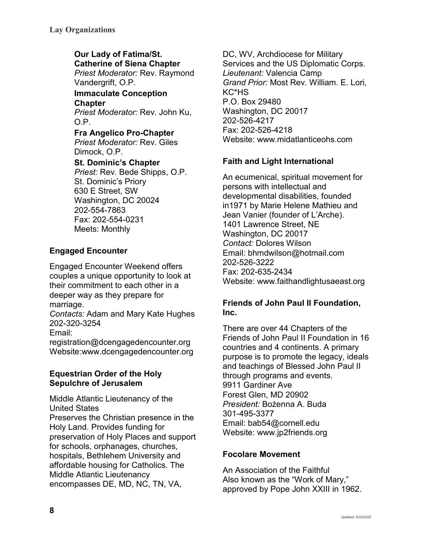### <span id="page-7-0"></span>**Our Lady of Fatima/St. Catherine of Siena Chapter**

*Priest Moderator:* Rev. Raymond Vandergrift, O.P.

#### <span id="page-7-1"></span>**Immaculate Conception Chapter**

*Priest Moderator:* Rev. John Ku, O.P.

# <span id="page-7-2"></span>**Fra Angelico Pro-Chapter**

*Priest Moderator:* Rev. Giles Dimock, O.P.

### <span id="page-7-3"></span>**St. Dominic's Chapter**

*Priest:* Rev. Bede Shipps, O.P. St. Dominic's Priory 630 E Street, SW Washington, DC 20024 202-554-7863 Fax: 202-554-0231 Meets: Monthly

# <span id="page-7-4"></span>**Engaged Encounter**

Engaged Encounter Weekend offers couples a unique opportunity to look at their commitment to each other in a deeper way as they prepare for marriage.

*Contacts:* Adam and Mary Kate Hughes 202-320-3254

Email:

registration@dcengagedencounter.org Website:www.dcengagedencounter.org

### <span id="page-7-5"></span>**Equestrian Order of the Holy Sepulchre of Jerusalem**

Middle Atlantic Lieutenancy of the United States Preserves the Christian presence in the Holy Land. Provides funding for preservation of Holy Places and support for schools, orphanages, churches, hospitals, Bethlehem University and affordable housing for Catholics. The Middle Atlantic Lieutenancy encompasses DE, MD, NC, TN, VA,

DC, WV, Archdiocese for Military Services and the US Diplomatic Corps. *Lieutenant:* Valencia Camp *Grand Prior:* Most Rev. William. E. Lori, KC\*HS P.O. Box 29480 Washington, DC 20017 202-526-4217 Fax: 202-526-4218 Website: [www.midatlanticeohs.com](http://www.midatlanticeohs.com/)

# <span id="page-7-6"></span>**Faith and Light International**

An ecumenical, spiritual movement for persons with intellectual and developmental disabilities, founded in1971 by Marie Helene Mathieu and Jean Vanier (founder of L'Arche). 1401 Lawrence Street, NE Washington, DC 20017 *Contact:* Dolores Wilson Email: bhmdwilson@hotmail.com 202-526-3222 Fax: 202-635-2434 Website: www.faithandlightusaeast.org

# <span id="page-7-7"></span>**Friends of John Paul II Foundation, Inc.**

There are over 44 Chapters of the Friends of John Paul II Foundation in 16 countries and 4 continents. A primary purpose is to promote the legacy, ideals and teachings of Blessed John Paul II through programs and events. 9911 Gardiner Ave Forest Glen, MD 20902 *President:* Bożenna A. Buda 301-495-3377 Email: bab54@cornell.edu Website: www.jp2friends.org

# <span id="page-7-8"></span>**Focolare Movement**

An Association of the Faithful Also known as the "Work of Mary," approved by Pope John XXIII in 1962.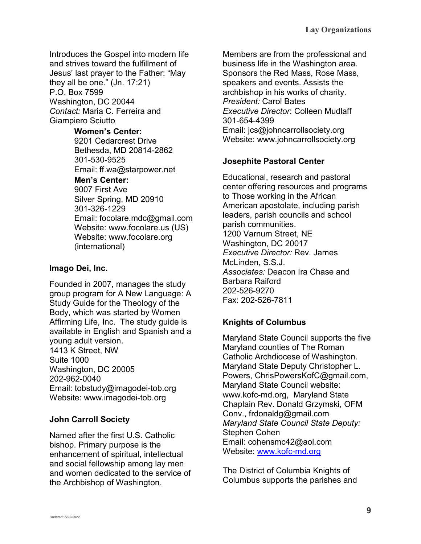Introduces the Gospel into modern life and strives toward the fulfillment of Jesus' last prayer to the Father: "May they all be one." (Jn. 17:21) P.O. Box 7599 Washington, DC 20044 *Contact:* Maria C. Ferreira and Giampiero Sciutto

#### <span id="page-8-0"></span>**Women's Center:**

9201 Cedarcrest Drive Bethesda, MD 20814-2862 301-530-9525 Email: ff.wa@starpower.net

### <span id="page-8-1"></span>**Men's Center:**

9007 First Ave Silver Spring, MD 20910 301-326-1229 Email: focolare.mdc@gmail.com Website: www.focolare.us (US) Website: www.focolare.org (international)

## <span id="page-8-2"></span>**Imago Dei, Inc.**

Founded in 2007, manages the study group program for A New Language: A Study Guide for the Theology of the Body, which was started by Women Affirming Life, Inc. The study guide is available in English and Spanish and a young adult version. 1413 K Street, NW Suite 1000 Washington, DC 20005 202-962-0040 Email: tobstudy@imagodei-tob.org Website: www.imagodei-tob.org

# <span id="page-8-3"></span>**John Carroll Society**

Named after the first U.S. Catholic bishop. Primary purpose is the enhancement of spiritual, intellectual and social fellowship among lay men and women dedicated to the service of the Archbishop of Washington.

Members are from the professional and business life in the Washington area. Sponsors the Red Mass, Rose Mass, speakers and events. Assists the archbishop in his works of charity. *President:* Carol Bates *Executive Director*: Colleen Mudlaff 301-654-4399 Email: jcs@johncarrollsociety.org Website: www.johncarrollsociety.org

# <span id="page-8-4"></span>**Josephite Pastoral Center**

Educational, research and pastoral center offering resources and programs to Those working in the African American apostolate, including parish leaders, parish councils and school parish communities. 1200 Varnum Street, NE Washington, DC 20017 *Executive Director:* Rev. James McLinden, S.S.J. *Associates:* Deacon Ira Chase and Barbara Raiford 202-526-9270 Fax: 202-526-7811

# <span id="page-8-5"></span>**Knights of Columbus**

Maryland State Council supports the five Maryland counties of The Roman Catholic Archdiocese of Washington. Maryland State Deputy Christopher L. Powers, ChrisPowersKofC@gmail.com, Maryland State Council website: www.kofc-md.org, Maryland State Chaplain Rev. Donald Grzymski, OFM Conv., [frdonaldg@gmail.com](mailto:frdonaldg@gmail.com) *Maryland State Council State Deputy:* Stephen Cohen Email: cohensmc42@aol.com Website: [www.kofc-md.org](http://www.kofc-md.org/)

The District of Columbia Knights of Columbus supports the parishes and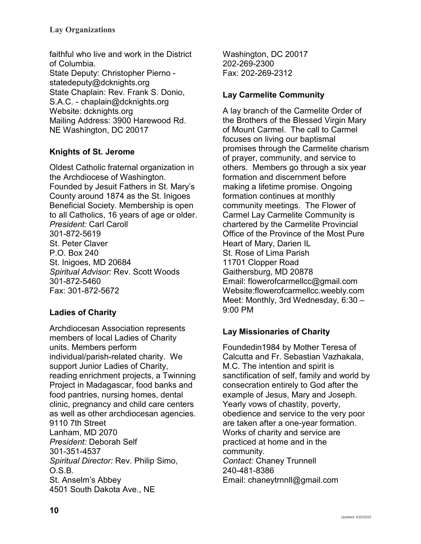faithful who live and work in the District of Columbia. State Deputy: Christopher Pierno statedeputy@dcknights.org State Chaplain: Rev. Frank S. Donio, S.A.C. - chaplain@dcknights.org Website: dcknights.org Mailing Address: 3900 Harewood Rd. NE Washington, DC 20017

# <span id="page-9-0"></span>**Knights of St. Jerome**

Oldest Catholic fraternal organization in the Archdiocese of Washington. Founded by Jesuit Fathers in St. Mary's County around 1874 as the St. Inigoes Beneficial Society. Membership is open to all Catholics, 16 years of age or older. *President:* Carl Caroll 301-872-5619 St. Peter Claver P.O. Box 240 St. Inigoes, MD 20684 *Spiritual Advisor:* Rev. Scott Woods 301-872-5460 Fax: 301-872-5672

# <span id="page-9-1"></span>**Ladies of Charity**

Archdiocesan Association represents members of local Ladies of Charity units. Members perform individual/parish-related charity. We support Junior Ladies of Charity, reading enrichment projects, a Twinning Project in Madagascar, food banks and food pantries, nursing homes, dental clinic, pregnancy and child care centers as well as other archdiocesan agencies. 9110 7th Street Lanham, MD 2070 *President:* Deborah Self 301-351-4537 *Spiritual Director:* Rev. Philip Simo, O.S.B. St. Anselm's Abbey 4501 South Dakota Ave., NE

Washington, DC 20017 202-269-2300 Fax: 202-269-2312

# <span id="page-9-2"></span>**Lay Carmelite Community**

A lay branch of the Carmelite Order of the Brothers of the Blessed Virgin Mary of Mount Carmel. The call to Carmel focuses on living our baptismal promises through the Carmelite charism of prayer, community, and service to others. Members go through a six year formation and discernment before making a lifetime promise. Ongoing formation continues at monthly community meetings. The Flower of Carmel Lay Carmelite Community is chartered by the Carmelite Provincial Office of the Province of the Most Pure Heart of Mary, Darien IL St. Rose of Lima Parish 11701 Clopper Road Gaithersburg, MD 20878 Email: flowerofcarmellcc@gmail.com Website:flowerofcarmellcc.weebly.com Meet: Monthly, 3rd Wednesday, 6:30 – 9:00 PM

# <span id="page-9-3"></span>**Lay Missionaries of Charity**

Foundedin1984 by Mother Teresa of Calcutta and Fr. Sebastian Vazhakala, M.C. The intention and spirit is sanctification of self, family and world by consecration entirely to God after the example of Jesus, Mary and Joseph. Yearly vows of chastity, poverty, obedience and service to the very poor are taken after a one-year formation. Works of charity and service are practiced at home and in the community. *Contact:* Chaney Trunnell 240-481-8386 Email: chaneytrnnll@gmail.com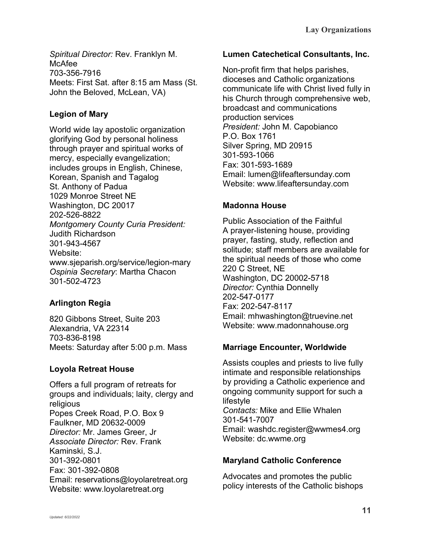*Spiritual Director:* Rev. Franklyn M. McAfee 703-356-7916 Meets: First Sat. after 8:15 am Mass (St. John the Beloved, McLean, VA)

# <span id="page-10-0"></span>**Legion of Mary**

World wide lay apostolic organization glorifying God by personal holiness through prayer and spiritual works of mercy, especially evangelization; includes groups in English, Chinese, Korean, Spanish and Tagalog St. Anthony of Padua 1029 Monroe Street NE Washington, DC 20017 202-526-8822 *Montgomery County Curia President:*  Judith Richardson 301-943-4567 Website: www.sjeparish.org/service/legion-mary *Ospinia Secretary*: Martha Chacon 301-502-4723

# <span id="page-10-1"></span>**Arlington Regia**

820 Gibbons Street, Suite 203 Alexandria, VA 22314 703-836-8198 Meets: Saturday after 5:00 p.m. Mass

# <span id="page-10-2"></span>**Loyola Retreat House**

Offers a full program of retreats for groups and individuals; laity, clergy and religious Popes Creek Road, P.O. Box 9 Faulkner, MD 20632-0009 *Director:* Mr. James Greer, Jr *Associate Director:* Rev. Frank Kaminski, S.J. 301-392-0801 Fax: 301-392-0808 Email: reservations@loyolaretreat.org Website: www.loyolaretreat.org

### <span id="page-10-3"></span>**Lumen Catechetical Consultants, Inc.**

Non-profit firm that helps parishes, dioceses and Catholic organizations communicate life with Christ lived fully in his Church through comprehensive web, broadcast and communications production services *President:* John M. Capobianco P.O. Box 1761 Silver Spring, MD 20915 301-593-1066 Fax: 301-593-1689 Email: lumen@lifeaftersunday.com Website: www.lifeaftersunday.com

# <span id="page-10-4"></span>**Madonna House**

Public Association of the Faithful A prayer-listening house, providing prayer, fasting, study, reflection and solitude; staff members are available for the spiritual needs of those who come 220 C Street, NE Washington, DC 20002-5718 *Director:* Cynthia Donnelly 202-547-0177 Fax: 202-547-8117 Email: mhwashington@truevine.net Website: www.madonnahouse.org

# <span id="page-10-5"></span>**Marriage Encounter, Worldwide**

Assists couples and priests to live fully intimate and responsible relationships by providing a Catholic experience and ongoing community support for such a lifestyle *Contacts:* Mike and Ellie Whalen 301-541-7007 Email: washdc.register@wwmes4.org Website: dc.wwme.org

# <span id="page-10-6"></span>**Maryland Catholic Conference**

Advocates and promotes the public policy interests of the Catholic bishops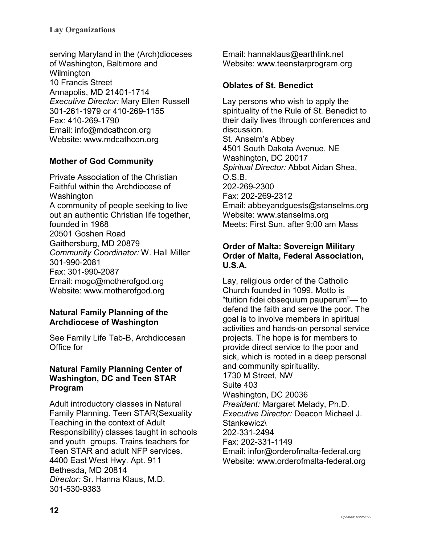### **Lay Organizations**

serving Maryland in the (Arch)dioceses of Washington, Baltimore and **Wilmington** 10 Francis Street Annapolis, MD 21401-1714 *Executive Director:* Mary Ellen Russell 301-261-1979 or 410-269-1155 Fax: 410-269-1790 Email: info@mdcathcon.org Website: www.mdcathcon.org

# <span id="page-11-0"></span>**Mother of God Community**

Private Association of the Christian Faithful within the Archdiocese of Washington A community of people seeking to live out an authentic Christian life together, founded in 1968 20501 Goshen Road Gaithersburg, MD 20879 *Community Coordinator:* W. Hall Miller 301-990-2081 Fax: 301-990-2087 Email: mogc@motherofgod.org Website: www.motherofgod.org

### <span id="page-11-1"></span>**Natural Family Planning of the Archdiocese of Washington**

See Family Life Tab-B, Archdiocesan Office for

#### <span id="page-11-2"></span>**Natural Family Planning Center of Washington, DC and Teen STAR Program**

Adult introductory classes in Natural Family Planning. Teen STAR(Sexuality Teaching in the context of Adult Responsibility) classes taught in schools and youth groups. Trains teachers for Teen STAR and adult NFP services. 4400 East West Hwy. Apt. 911 Bethesda, MD 20814 *Director:* Sr. Hanna Klaus, M.D. 301-530-9383

Email: hannaklaus@earthlink.net Website: www.teenstarprogram.org

### <span id="page-11-3"></span>**Oblates of St. Benedict**

Lay persons who wish to apply the spirituality of the Rule of St. Benedict to their daily lives through conferences and discussion. St. Anselm's Abbey 4501 South Dakota Avenue, NE Washington, DC 20017 *Spiritual Director:* Abbot Aidan Shea, O.S.B. 202-269-2300 Fax: 202-269-2312 Email: abbeyandguests@stanselms.org Website: www.stanselms.org Meets: First Sun. after 9:00 am Mass

### <span id="page-11-4"></span>**Order of Malta: Sovereign Military Order of Malta, Federal Association, U.S.A.**

Lay, religious order of the Catholic Church founded in 1099. Motto is "tuition fidei obsequium pauperum"— to defend the faith and serve the poor. The goal is to involve members in spiritual activities and hands-on personal service projects. The hope is for members to provide direct service to the poor and sick, which is rooted in a deep personal and community spirituality. 1730 M Street, NW Suite 403 Washington, DC 20036 *President:* Margaret Melady, Ph.D. *Executive Director:* Deacon Michael J. Stankewicz\ 202-331-2494 Fax: 202-331-1149 Email: infor@orderofmalta-federal.org Website: www.orderofmalta-federal.org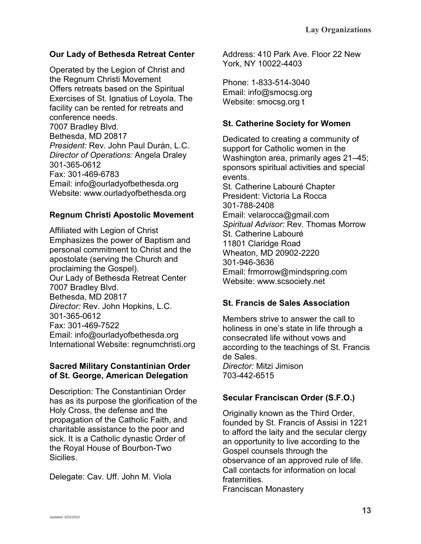# <span id="page-12-0"></span>**Our Lady of Bethesda Retreat Center**

Operated by the Legion of Christ and the Regnum Christi Movement Offers retreats based on the Spiritual Exercises of St. Ignatius of Loyola. The facility can be rented for retreats and conference needs. 7007 Bradley Blvd. Bethesda, MD 20817 *President:* Rev. John Paul Durán, L.C. *Director of Operations:* Angela Draley 301-365-0612 Fax: 301-469-6783 Email: info@ourladyofbethesda.org Website: www.ourladyofbethesda.org

### <span id="page-12-1"></span>**Regnum Christi Apostolic Movement**

Affiliated with Legion of Christ Emphasizes the power of Baptism and personal commitment to Christ and the apostolate (serving the Church and proclaiming the Gospel). Our Lady of Bethesda Retreat Center 7007 Bradley Blvd. Bethesda, MD 20817 *Director:* Rev. John Hopkins, L.C. 301-365-0612 Fax: 301-469-7522 Email: info@ourladyofbethesda.org International Website: regnumchristi.org

### <span id="page-12-2"></span>**Sacred Military Constantinian Order of St. George, American Delegation**

Description: The Constantinian Order has as its purpose the glorification of the Holy Cross, the defense and the propagation of the Catholic Faith, and charitable assistance to the poor and sick. It is a Catholic dynastic Order of the Royal House of Bourbon-Two Sicilies.

Delegate: Cav. Uff. John M. Viola

Address: 410 Park Ave. Floor 22 New York, NY 10022-4403

Phone: 1-833-514-3040 Email: info@smocsg.org Website: smocsg.org t

## <span id="page-12-3"></span>**St. Catherine Society for Women**

Dedicated to creating a community of support for Catholic women in the Washington area, primarily ages 21–45; sponsors spiritual activities and special events. St. Catherine Labouré Chapter President: Victoria La Rocca 301-788-2408 Email: velarocca@gmail.com *Spiritual Advisor:* Rev. Thomas Morrow St. Catherine Labouré 11801 Claridge Road Wheaton, MD 20902-2220 301-946-3636 Email: frmorrow@mindspring.com Website: www.scsociety.net

# <span id="page-12-4"></span>**St. Francis de Sales Association**

Members strive to answer the call to holiness in one's state in life through a consecrated life without vows and according to the teachings of St. Francis de Sales. *Director:* Mitzi Jimison 703-442-6515

# <span id="page-12-5"></span>**Secular Franciscan Order (S.F.O.)**

Originally known as the Third Order, founded by St. Francis of Assisi in 1221 to afford the laity and the secular clergy an opportunity to live according to the Gospel counsels through the observance of an approved rule of life. Call contacts for information on local fraternities. Franciscan Monastery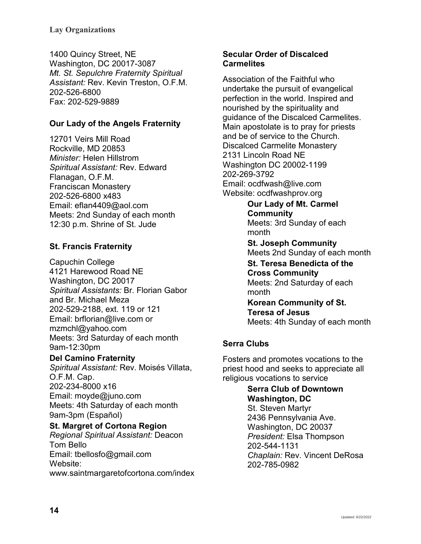1400 Quincy Street, NE Washington, DC 20017-3087 *Mt. St. Sepulchre Fraternity Spiritual Assistant:* Rev. Kevin Treston, O.F.M. 202-526-6800 Fax: 202-529-9889

# <span id="page-13-0"></span>**Our Lady of the Angels Fraternity**

12701 Veirs Mill Road Rockville, MD 20853 *Minister:* Helen Hillstrom *Spiritual Assistant:* Rev. Edward Flanagan, O.F.M. Franciscan Monastery 202-526-6800 x483 Email: eflan4409@aol.com Meets: 2nd Sunday of each month 12:30 p.m. Shrine of St. Jude

# <span id="page-13-1"></span>**St. Francis Fraternity**

Capuchin College 4121 Harewood Road NE Washington, DC 20017 *Spiritual Assistants:* Br. Florian Gabor and Br. Michael Meza 202-529-2188, ext. 119 or 121 Email: brflorian@live.com or mzmchl@yahoo.com Meets: 3rd Saturday of each month 9am-12:30pm

<span id="page-13-2"></span>**Del Camino Fraternity** *Spiritual Assistant:* Rev. Moisés Villata, O.F.M. Cap. 202-234-8000 x16 Email: moyde@juno.com Meets: 4th Saturday of each month 9am-3pm (Español) **St. Margret of Cortona Region**

<span id="page-13-3"></span>*Regional Spiritual Assistant:* Deacon Tom Bello Email: tbellosfo@gmail.com Website: www.saintmargaretofcortona.com/index

### <span id="page-13-4"></span>**Secular Order of Discalced Carmelites**

Association of the Faithful who undertake the pursuit of evangelical perfection in the world. Inspired and nourished by the spirituality and guidance of the Discalced Carmelites. Main apostolate is to pray for priests and be of service to the Church. Discalced Carmelite Monastery 2131 Lincoln Road NE Washington DC 20002-1199 202-269-3792 Email: ocdfwash@live.com Website: ocdfwashprov.org

> <span id="page-13-5"></span>**Our Lady of Mt. Carmel Community** Meets: 3rd Sunday of each month

<span id="page-13-7"></span><span id="page-13-6"></span>**St. Joseph Community** Meets 2nd Sunday of each month **St. Teresa Benedicta of the Cross Community** Meets: 2nd Saturday of each month **Korean Community of St.** 

<span id="page-13-8"></span>**Teresa of Jesus** Meets: 4th Sunday of each month

# <span id="page-13-9"></span>**Serra Clubs**

Fosters and promotes vocations to the priest hood and seeks to appreciate all religious vocations to service

# <span id="page-13-10"></span>**Serra Club of Downtown Washington, DC**

St. Steven Martyr 2436 Pennsylvania Ave. Washington, DC 20037 *President:* Elsa Thompson 202-544-1131 *Chaplain:* Rev. Vincent DeRosa 202-785-0982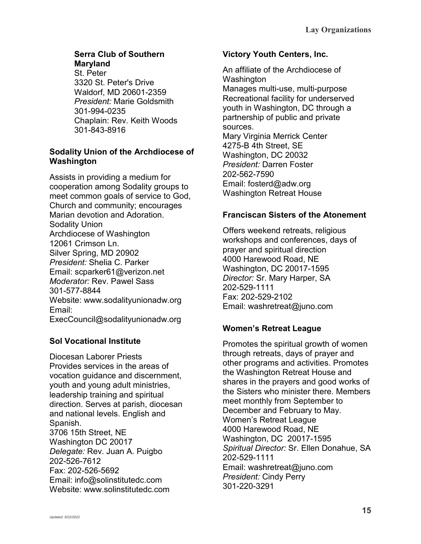# <span id="page-14-0"></span>**Serra Club of Southern Maryland**

St. Peter 3320 St. Peter's Drive Waldorf, MD 20601-2359 *President:* Marie Goldsmith 301-994-0235 Chaplain: Rev. Keith Woods 301-843-8916

# <span id="page-14-1"></span>**Sodality Union of the Archdiocese of Washington**

Assists in providing a medium for cooperation among Sodality groups to meet common goals of service to God, Church and community; encourages Marian devotion and Adoration. Sodality Union Archdiocese of Washington 12061 Crimson Ln. Silver Spring, MD 20902 *President:* Shelia C. Parker Email: scparker61@verizon.net *Moderator:* Rev. Pawel Sass 301-577-8844 Website: www.sodalityunionadw.org Email: ExecCouncil@sodalityunionadw.org

# <span id="page-14-2"></span>**Sol Vocational Institute**

Diocesan Laborer Priests Provides services in the areas of vocation guidance and discernment, youth and young adult ministries, leadership training and spiritual direction. Serves at parish, diocesan and national levels. English and Spanish. 3706 15th Street, NE Washington DC 20017 *Delegate:* Rev. Juan A. Puigbo 202-526-7612 Fax: 202-526-5692 Email: info@solinstitutedc.com Website: www.solinstitutedc.com

### <span id="page-14-3"></span>**Victory Youth Centers, Inc.**

An affiliate of the Archdiocese of Washington Manages multi-use, multi-purpose Recreational facility for underserved youth in Washington, DC through a partnership of public and private sources. Mary Virginia Merrick Center 4275-B 4th Street, SE Washington, DC 20032 *President:* Darren Foster 202-562-7590 Email: fosterd@adw.org Washington Retreat House

# <span id="page-14-4"></span>**Franciscan Sisters of the Atonement**

Offers weekend retreats, religious workshops and conferences, days of prayer and spiritual direction 4000 Harewood Road, NE Washington, DC 20017-1595 *Director:* Sr. Mary Harper, SA 202-529-1111 Fax: 202-529-2102 Email: washretreat@juno.com

# <span id="page-14-5"></span>**Women's Retreat League**

Promotes the spiritual growth of women through retreats, days of prayer and other programs and activities. Promotes the Washington Retreat House and shares in the prayers and good works of the Sisters who minister there. Members meet monthly from September to December and February to May. Women's Retreat League 4000 Harewood Road, NE Washington, DC 20017-1595 *Spiritual Director:* Sr. Ellen Donahue, SA 202-529-1111 Email: washretreat@juno.com *President:* Cindy Perry 301-220-3291